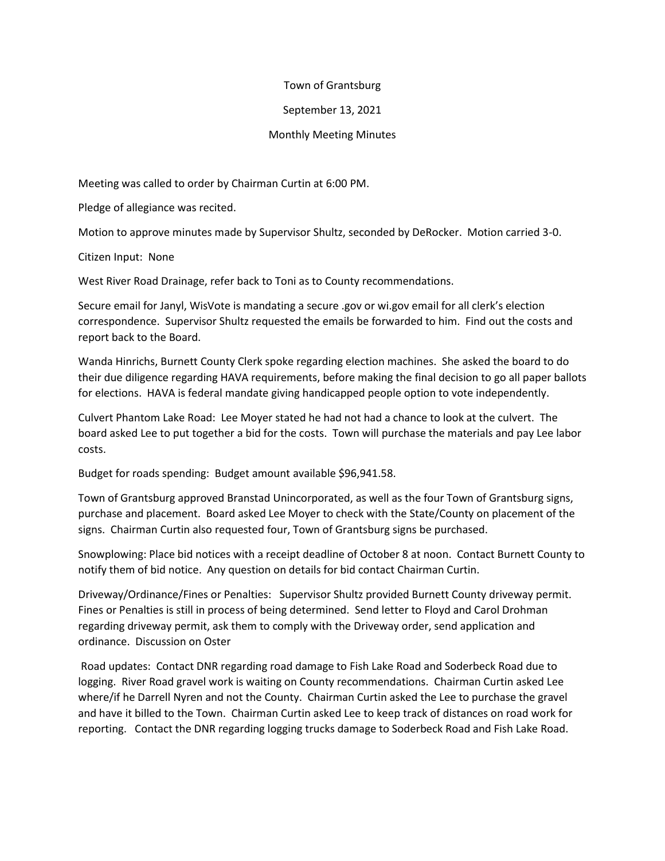## Town of Grantsburg

## September 13, 2021

## Monthly Meeting Minutes

Meeting was called to order by Chairman Curtin at 6:00 PM.

Pledge of allegiance was recited.

Motion to approve minutes made by Supervisor Shultz, seconded by DeRocker. Motion carried 3-0.

Citizen Input: None

West River Road Drainage, refer back to Toni as to County recommendations.

Secure email for Janyl, WisVote is mandating a secure .gov or wi.gov email for all clerk's election correspondence. Supervisor Shultz requested the emails be forwarded to him. Find out the costs and report back to the Board.

Wanda Hinrichs, Burnett County Clerk spoke regarding election machines. She asked the board to do their due diligence regarding HAVA requirements, before making the final decision to go all paper ballots for elections. HAVA is federal mandate giving handicapped people option to vote independently.

Culvert Phantom Lake Road: Lee Moyer stated he had not had a chance to look at the culvert. The board asked Lee to put together a bid for the costs. Town will purchase the materials and pay Lee labor costs.

Budget for roads spending: Budget amount available \$96,941.58.

Town of Grantsburg approved Branstad Unincorporated, as well as the four Town of Grantsburg signs, purchase and placement. Board asked Lee Moyer to check with the State/County on placement of the signs. Chairman Curtin also requested four, Town of Grantsburg signs be purchased.

Snowplowing: Place bid notices with a receipt deadline of October 8 at noon. Contact Burnett County to notify them of bid notice. Any question on details for bid contact Chairman Curtin.

Driveway/Ordinance/Fines or Penalties: Supervisor Shultz provided Burnett County driveway permit. Fines or Penalties is still in process of being determined. Send letter to Floyd and Carol Drohman regarding driveway permit, ask them to comply with the Driveway order, send application and ordinance. Discussion on Oster

Road updates: Contact DNR regarding road damage to Fish Lake Road and Soderbeck Road due to logging. River Road gravel work is waiting on County recommendations. Chairman Curtin asked Lee where/if he Darrell Nyren and not the County. Chairman Curtin asked the Lee to purchase the gravel and have it billed to the Town. Chairman Curtin asked Lee to keep track of distances on road work for reporting. Contact the DNR regarding logging trucks damage to Soderbeck Road and Fish Lake Road.